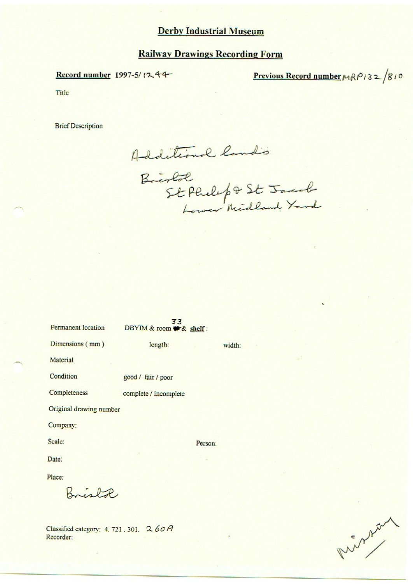#### **Railway Drawings Recording Form**

#### Record number 1997-5/1244

# Previous Record number  $MRP/32/810$

Title

**Brief Description** 

Additional land's

Bristol<br>St Philip & St Jacob

| Permanent location      | 33<br>DBYIM & room * & shelf: |         |  |  |  |
|-------------------------|-------------------------------|---------|--|--|--|
| Dimensions (mm)         | length:                       | width:  |  |  |  |
| Material                |                               |         |  |  |  |
| Condition               | good / fair / poor            |         |  |  |  |
| Completeness            | complete / incomplete         |         |  |  |  |
| Original drawing number |                               |         |  |  |  |
| Company:                |                               |         |  |  |  |
| Scale:                  |                               | Person: |  |  |  |
| Date:                   |                               |         |  |  |  |
|                         |                               |         |  |  |  |

Place:

Bristol

Classified category: 4, 721, 301, 260A Recorder:

Runshirl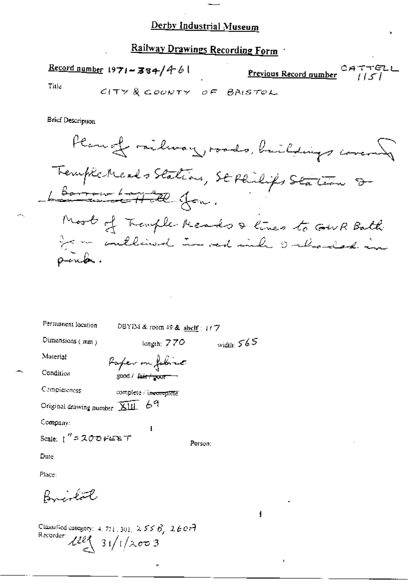Railway Drawings Recording Form

 $\frac{\text{Record number}}{1971 - 384}/461$ C*A*<br><u>Previous Record gumber</u> Title

CITY & COUNTY OF BRISTOL

**Brief Description** 

Plannet milway, roads, buildings covered Trempla Meads Stations, SE Philips Station 8-Longen to Hill for. Most of Transle Meads & lines to GWR Bath for an conclined in red inh onlined in pink.

| Permanent location                    | DBYIM & room 49 & shelf: $177$ |              |
|---------------------------------------|--------------------------------|--------------|
| Dimensions (mm)                       | length: $770$                  | width: $565$ |
| Material                              | Paper on fobric                |              |
| Condition                             | good / <del>fair / poor</del>  |              |
| Completeness                          | complete / incomplete          |              |
| Original drawing number XIII 69       |                                |              |
| Company:                              | l                              |              |
| Scale: $1'' = 200$ $\mu$ $\mu$ $\tau$ |                                | Person;      |
| Date,                                 |                                |              |
| Place:                                |                                |              |

Classified category: 4, 721, 301, 2 5 5  $\beta$ , 2 6 0  $\pi$ Recorder  $22$  31/1/2003

Bristot

f.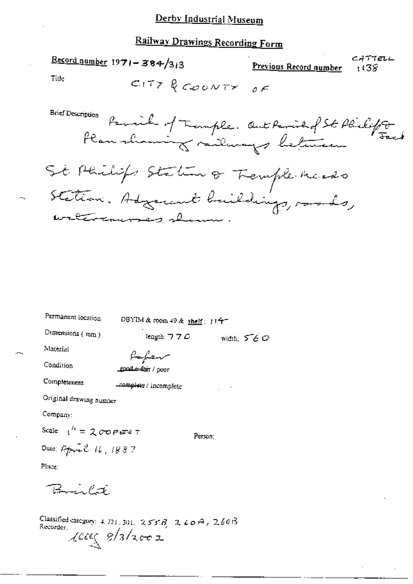# Railway Drawings Recording Form

 $\frac{\text{Record number}}{1971 - 384/313}$ CATTELL Previous Record number 1138 Title CITY & COUNTY OF **Brief Description** Parvil of Trample. Out Parish of St Philipp Plan shawing milings between St Philips Station of Tremple Meado Station. Adjacent buildings, roods, watercourses shown

width:  $560$ 

Permanent location

DBYIM & room 49 & shelf: 114-

Person:

Dimensions (min)

length:  $770$ 

Material

foken

Completeness

Condition

good that / poor

complete / incomplete

Original drawing number

Company:

Scale:  $\frac{1}{1}$  = 200 Peters 7 Date: April 16, 1887

Place:

 $B = l \vec{x}$ 

Classified category: 4, 721, 301,  $255B$ ,  $260A$ ,  $260B$ Recorder:  $\chi$ eces 8/3/2002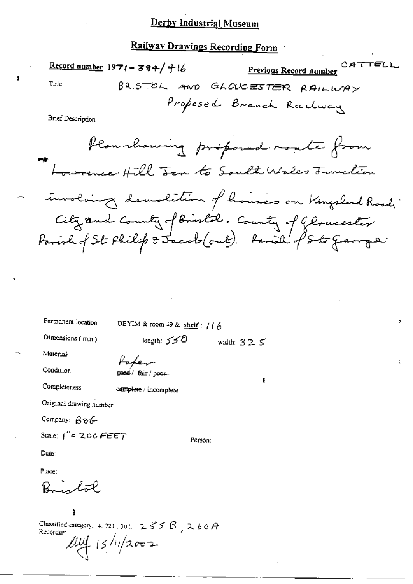### Railway Drawings Recording Form

 $\pmb{\mathfrak{z}}$ 

|                                    |                                     | $\frac{1}{2}$                                                                                              |  |
|------------------------------------|-------------------------------------|------------------------------------------------------------------------------------------------------------|--|
|                                    | Record number $1971 - 384 / 716$    | <b>Previous Record number</b> CATTELL                                                                      |  |
| Title                              | BRISTOL AND                         | GLOUCESTER RAILWAY                                                                                         |  |
| <b>Brief Description</b>           |                                     | Proposed Branch Railway                                                                                    |  |
|                                    |                                     | Plan showing proposed monte from<br>Lourence Hill Jen to Soult Wales Junction                              |  |
|                                    |                                     | involving demolition of houses on Kingsland Road,                                                          |  |
|                                    |                                     | City and County of Bristol. County of Glomeester<br>Parish of St Philip & Jacob (out), famil of Sto George |  |
|                                    | and the contract of the contract of |                                                                                                            |  |
| Permanent location                 | DBYIM & room 49 & shelf: $116$      |                                                                                                            |  |
| Dimensions (mm)                    | leagth: 550                         | width: $325$                                                                                               |  |
| Material                           | forter                              |                                                                                                            |  |
| Condition                          | geed/fair/poor_                     | ŧ                                                                                                          |  |
| Completeness                       | complete / incomplete               |                                                                                                            |  |
| Original drawing number            |                                     |                                                                                                            |  |
| Company: $\beta \gamma C$          |                                     |                                                                                                            |  |
| Scale: $1''$ = 200 $F$ $E$ $E$ $T$ |                                     | Person:                                                                                                    |  |
| Date:                              |                                     |                                                                                                            |  |
| Place:                             |                                     |                                                                                                            |  |
|                                    |                                     |                                                                                                            |  |

Classified category. 4.721.301.  $255B$ ,  $260A$ <br>Recorder  $\mu$   $\mu$   $\rightarrow$   $\mu$   $\rightarrow$   $\mu$ 

Ì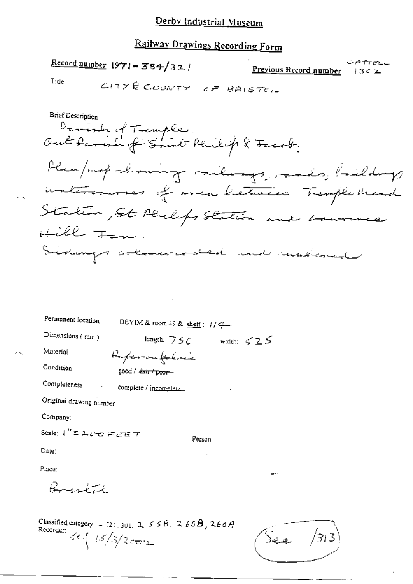# Railway Drawings Recording Form

Record number  $1971 - 384/32$ 

じけつけんし Previous Record number  $3c2$ 

Title

**Brief Description** Parish of Temple.<br>Out Parish of Smit Philip & Facoby Plan/map showing milings, mades, buildings materiannes of meabletaire Temple Med Station, St Perleps Station and Laurence Hill Ten. Sidnings attended with makeraal

| Permanent location                           | DBYIM & room 49 & shelf: $1/7-$                                   |         |  |
|----------------------------------------------|-------------------------------------------------------------------|---------|--|
| Dimensions $(mn)$                            | length: $750$ width: $525$                                        |         |  |
| Material                                     | Papermatokres                                                     |         |  |
| Condition                                    | good / fair / poor                                                |         |  |
| Completeness                                 | complete / incomplete                                             |         |  |
| Original drawing number                      |                                                                   |         |  |
| Company:                                     |                                                                   |         |  |
| Scale: (" = 1.00 FEET                        |                                                                   | Person: |  |
| Date:                                        |                                                                   |         |  |
| Place:                                       |                                                                   |         |  |
| $R_{\text{total}}$                           |                                                                   |         |  |
| Recorder: $\frac{26}{15}/5/2$ c $\approx$ 2. | Classified entegory: $4.521$ , $301$ , $2.558$ , $2.669$ , $2669$ |         |  |

 $\frac{1}{2}$ See  $\frac{1}{3}$ 13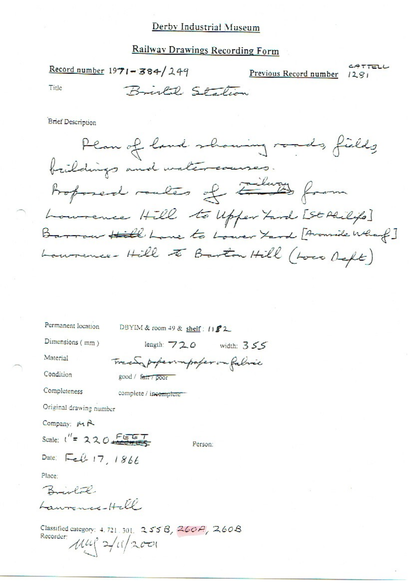#### Railway Drawings Recording Form

| Record number $1971 - 384 / 249$ |                 | Previous Record number 1281 | CATTELL |
|----------------------------------|-----------------|-----------------------------|---------|
| Title                            | Bristal Station |                             |         |

**Brief Description** 

Plan of land showing roads, fields brildings and watercourses. Proposed routes of Europe Lournence Hill to Upper Fard [St Alilips] Barrow Hill Lane to Lower Yard [Avanide What?] Laurence-Hill to Barton Hill (Loco Deft)

Permanent location DBYIM & room 49 & shelf: 1182 Dimensions (mm) length: 720 width: 355 Material Tracing professimpaper on fabric Condition good / fair / poor

complete / incomplete

Original drawing number

Company: MR

Completeness

Scale:  $1'' = 220$ 

Person:

Date: Feb 17 1866

Place:

Brislal. Laurence-Hell.

Classified category: 4.721.301. 2558, 260A, 260B Recorder:  $\mu$ ul  $2/11/2001$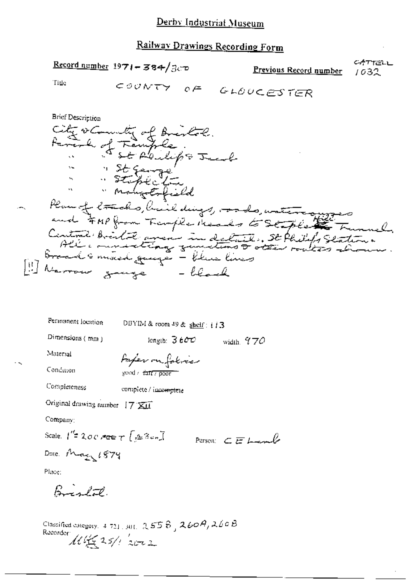## Railway Drawings Recording Form

Record number 1971 - 384/300

 $COONTY$ 

CATTELL Previous Record number 1032

Title

$$
e\in \quad \text{GLOUCES} \text{TER}
$$

width,  $970$ 

Person  $CE$  from  $\ell$ 

**Brief Description** City occurrenty of Bristol.<br>Arrive of Temple,<br>"Stophelonge" send Plan of trades, hail dings, ando, water any produced the other for the form of the plan of the set of the there have a little of the set of the set of the set of the set of the set of the set of the set of the set of the s

Permanent location

DBYIM & room 49 & shelf: i i 3

length:  $3600$ 

Dimensions (mm)

Paper on folice good / fanty poor

Condution

Completeness

Material

complete / incomplete

Original drawing number 17 XII

Company:

Scale,  $1^{\prime\prime}$  2007ee  $\tau$  [23em]

Date May 1874

Place:

Birlot.

Classified category,  $4.721$ ,  $301$ ,  $2.556$ ,  $2609$ ,  $260B$ Recorder  $\mathcal{M} \not \in 25/7$  2002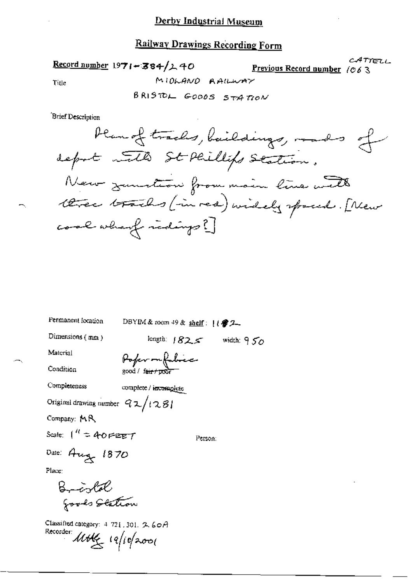## Railway Drawings Recording Form

Record number 1971-384/240

 $CATTETL$ Previous Record number /063

Title

BRISTOL GOODS STATION

MIOLANO AAILWAY

Brief Description

Permanent location DBYIM & room 49 & shelf:  $($   $\circ$  2\_ Dimensions (mm) length:  $1825$  width:  $950$ Material Pofer mfolice Condition Completeness complete / incomplete Original drawing number  $92/1281$ Company: MR Scale:  $1^{\prime\prime} = 40$  FEET Person: Date: Aug 1870 Place: Bristol goods Station

Classified category: 4-721, 301, 2-60A Recorder Mother 19/10/2001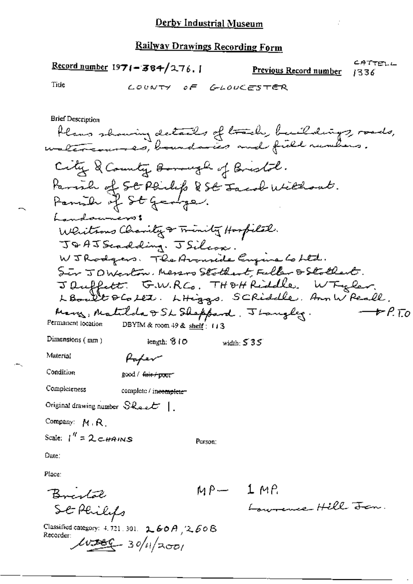## **Railway Drawings Recording Form**

$$
\underline{\text{Record number}} 1971 - 384 / 276.1
$$

 $00C$ 

CATTELL Previous Record number 1336

Tide

 $\mathbf{A}$ 

**Brief Description** 

Condition

good / fair poor

Compleieness complete / incomplete-

Original drawing number  $\mathcal{S}\mathcal{R}_{\text{act}}$   $\mathcal{L}$ 

Company: M.R.

Scale:  $1'' = 2c$  *HAINS* 

Person:

Date:

Place:

Bristal<br>St Plilips

Classified category: 4, 721, 301.  $2.60A$ ,  $2.60B$ <br>Recorder:  $40366 - 30/11/2001$ 

 $MP-1MP$ <br> $L_{ourence} Hell$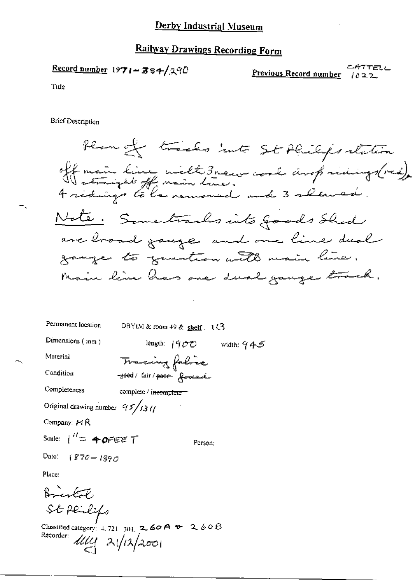### **Railway Drawings Recording Form**

Record number 1971-384/290

ATTELL Previous Record number 22ه ا

Title

**Brief Description** 

Plan of tracks into St Philips station off main line wiltersnew work amp ridings(red).<br>It straight off main line.<br>4 ridings to la neuwered and 3 started. Note. Some tracks into goods shed are broad gauge and one line dual gauge to genetion with main line. Main line has one dual gauge track.

Permanent location DBYIM & room 49 & shelf  $(1/3)$ Dimensions (mm) length:  $1900$  width:  $945$ Material Tracing folice Condition  $-$ good/ fair/poor formand Completeness complete / incomplete Original drawing number  $95/131/$ Company:  $\cancel{\bowtie}$   $\beta$ Scale:  $1'' = 40$ FEET Person;  $(870 - 1890$ Date:

Place:

Bright St peulifs

Classified category: 4, 721 301, **2, 60 A + 2,** 60 B Recorder: 1114 21/12/2001